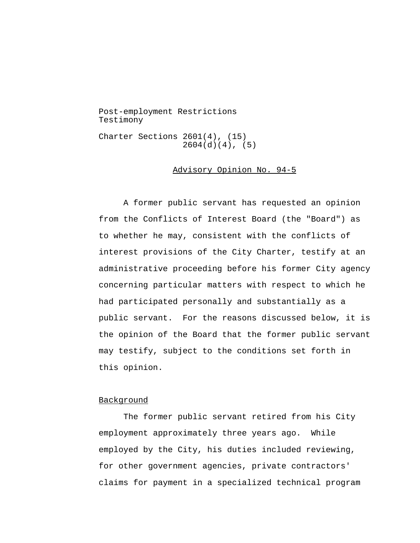Post-employment Restrictions Testimony Charter Sections 2601(4), (15) 2604(d)(4), (5)

## Advisory Opinion No. 94-5

A former public servant has requested an opinion from the Conflicts of Interest Board (the "Board") as to whether he may, consistent with the conflicts of interest provisions of the City Charter, testify at an administrative proceeding before his former City agency concerning particular matters with respect to which he had participated personally and substantially as a public servant. For the reasons discussed below, it is the opinion of the Board that the former public servant may testify, subject to the conditions set forth in this opinion.

## Background

The former public servant retired from his City employment approximately three years ago. While employed by the City, his duties included reviewing, for other government agencies, private contractors' claims for payment in a specialized technical program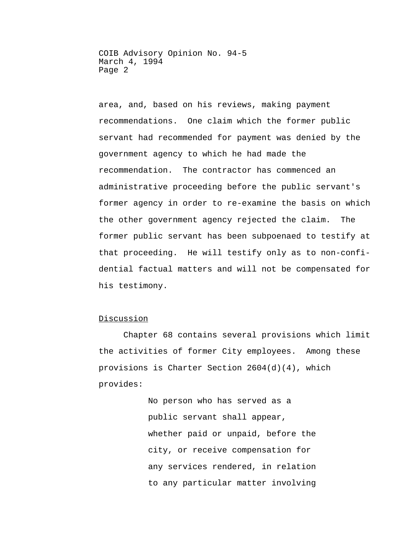area, and, based on his reviews, making payment recommendations. One claim which the former public servant had recommended for payment was denied by the government agency to which he had made the recommendation. The contractor has commenced an administrative proceeding before the public servant's former agency in order to re-examine the basis on which the other government agency rejected the claim. The former public servant has been subpoenaed to testify at that proceeding. He will testify only as to non-confidential factual matters and will not be compensated for his testimony.

## Discussion

Chapter 68 contains several provisions which limit the activities of former City employees. Among these provisions is Charter Section 2604(d)(4), which provides:

> No person who has served as a public servant shall appear, whether paid or unpaid, before the city, or receive compensation for any services rendered, in relation to any particular matter involving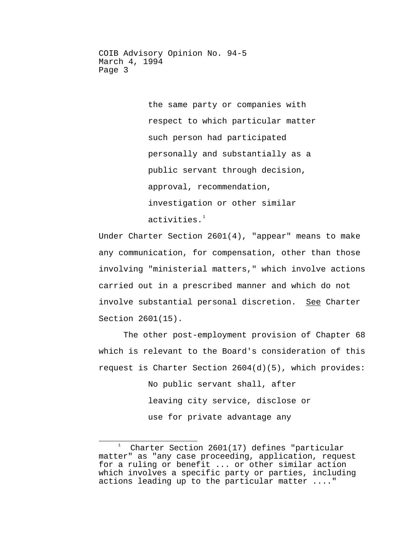> the same party or companies with respect to which particular matter such person had participated personally and substantially as a public servant through decision, approval, recommendation, investigation or other similar activities. $1$

Under Charter Section 2601(4), "appear" means to make any communication, for compensation, other than those involving "ministerial matters," which involve actions carried out in a prescribed manner and which do not involve substantial personal discretion. See Charter Section 2601(15).

The other post-employment provision of Chapter 68 which is relevant to the Board's consideration of this request is Charter Section  $2604(d)(5)$ , which provides:

> No public servant shall, after leaving city service, disclose or use for private advantage any

<span id="page-2-0"></span>Ĩ  $\frac{1}{1}$  Charter Section 2601(17) defines "particular matter" as "any case proceeding, application, request for a ruling or benefit ... or other similar action which involves a specific party or parties, including actions leading up to the particular matter ...."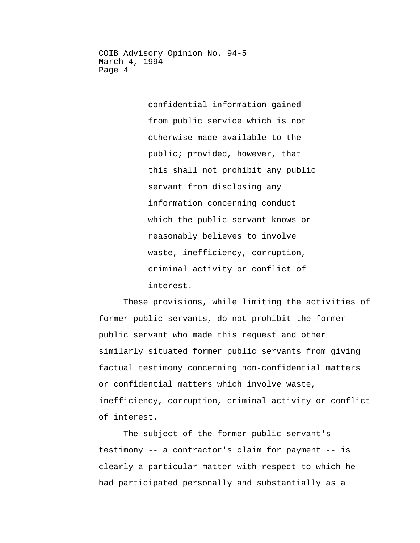> confidential information gained from public service which is not otherwise made available to the public; provided, however, that this shall not prohibit any public servant from disclosing any information concerning conduct which the public servant knows or reasonably believes to involve waste, inefficiency, corruption, criminal activity or conflict of interest.

These provisions, while limiting the activities of former public servants, do not prohibit the former public servant who made this request and other similarly situated former public servants from giving factual testimony concerning non-confidential matters or confidential matters which involve waste, inefficiency, corruption, criminal activity or conflict of interest.

The subject of the former public servant's testimony -- a contractor's claim for payment -- is clearly a particular matter with respect to which he had participated personally and substantially as a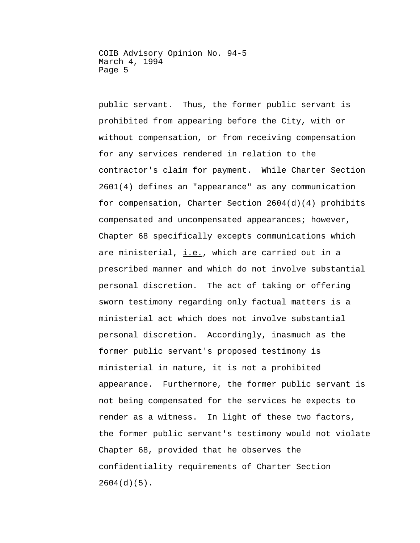public servant. Thus, the former public servant is prohibited from appearing before the City, with or without compensation, or from receiving compensation for any services rendered in relation to the contractor's claim for payment. While Charter Section 2601(4) defines an "appearance" as any communication for compensation, Charter Section 2604(d)(4) prohibits compensated and uncompensated appearances; however, Chapter 68 specifically excepts communications which are ministerial, i.e., which are carried out in a prescribed manner and which do not involve substantial personal discretion. The act of taking or offering sworn testimony regarding only factual matters is a ministerial act which does not involve substantial personal discretion. Accordingly, inasmuch as the former public servant's proposed testimony is ministerial in nature, it is not a prohibited appearance. Furthermore, the former public servant is not being compensated for the services he expects to render as a witness. In light of these two factors, the former public servant's testimony would not violate Chapter 68, provided that he observes the confidentiality requirements of Charter Section 2604(d)(5).